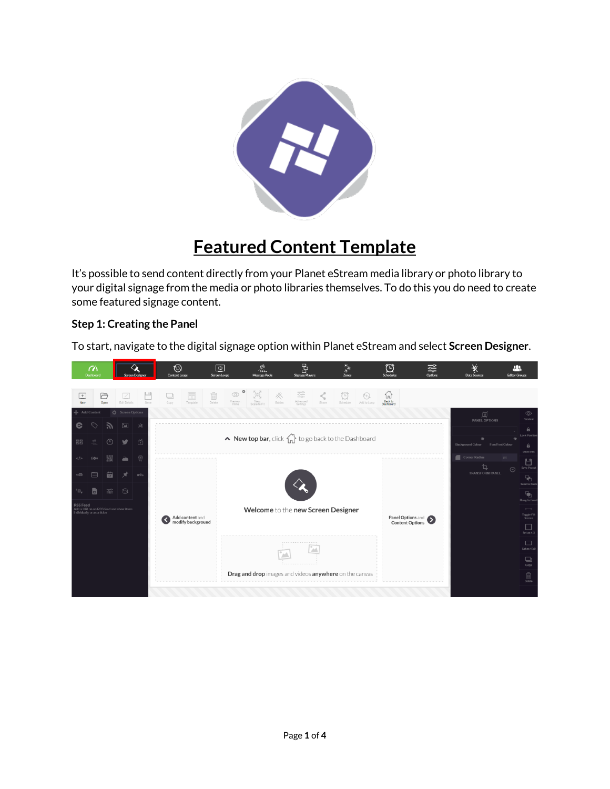

## **Featured Content Template**

It's possible to send content directly from your Planet eStream media library or photo library to your digital signage from the media or photo libraries themselves. To do this you do need to create some featured signage content.

## **Step 1: Creating the Panel**

To start, navigate to the digital signage option within Planet eStream and select **Screen Designer**.

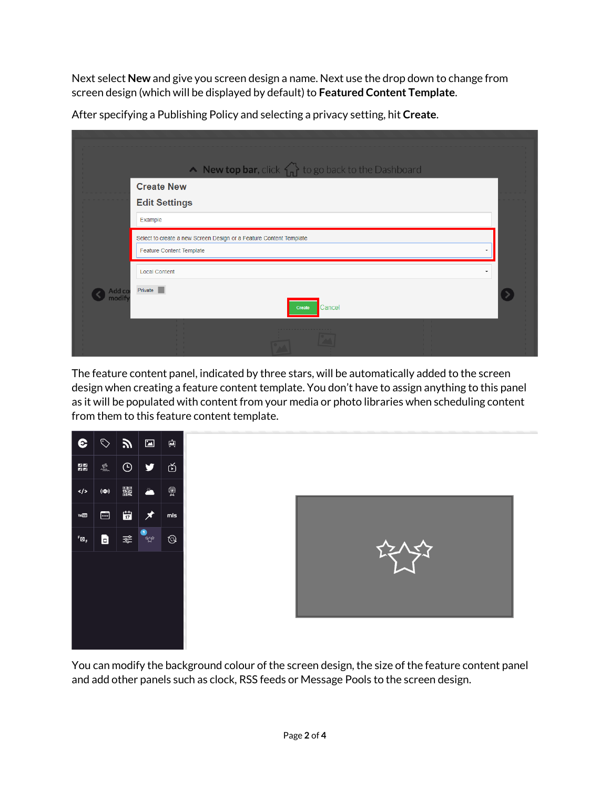Next select **New** and give you screen design a name. Next use the drop down to change from screen design (which will be displayed by default) to **Featured Content Template**.

|                 | • New top bar, click $\{ \bigcap_{n=1}^{\infty} \}$ to go back to the Dashboard                |  |
|-----------------|------------------------------------------------------------------------------------------------|--|
|                 | <b>Create New</b><br><b>Edit Settings</b><br>Example                                           |  |
|                 | Select to create a new Screen Design or a Feature Content Template<br>Feature Content Template |  |
| Add co<br>modif | <b>Local Content</b><br>٠<br>Private<br>Cancel<br>Create                                       |  |
|                 |                                                                                                |  |

After specifying a Publishing Policy and selecting a privacy setting, hit **Create**.

The feature content panel, indicated by three stars, will be automatically added to the screen design when creating a feature content template. You don't have to assign anything to this panel as it will be populated with content from your media or photo libraries when scheduling content from them to this feature content template.





You can modify the background colour of the screen design, the size of the feature content panel and add other panels such as clock, RSS feeds or Message Pools to the screen design.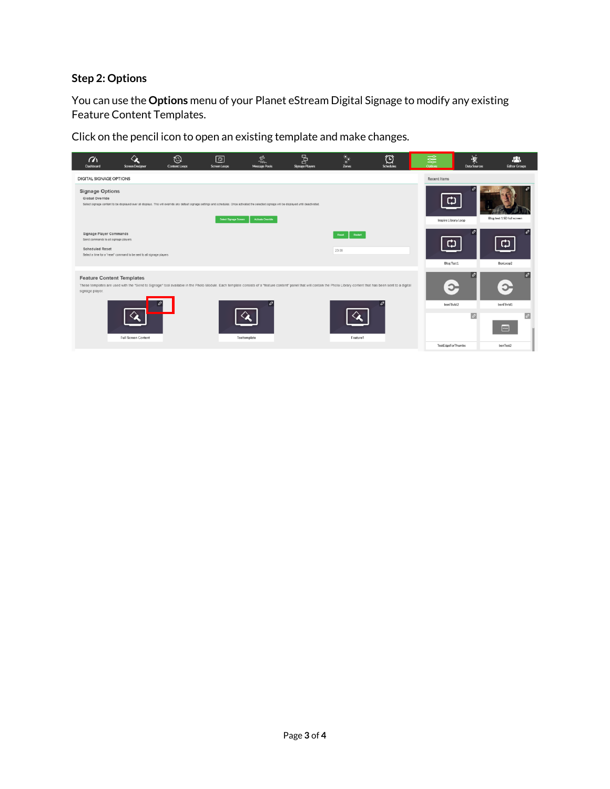## **Step 2: Options**

You can use the **Options** menu of your Planet eStream Digital Signage to modify any existing Feature Content Templates.

Click on the pencil icon to open an existing template and make changes.